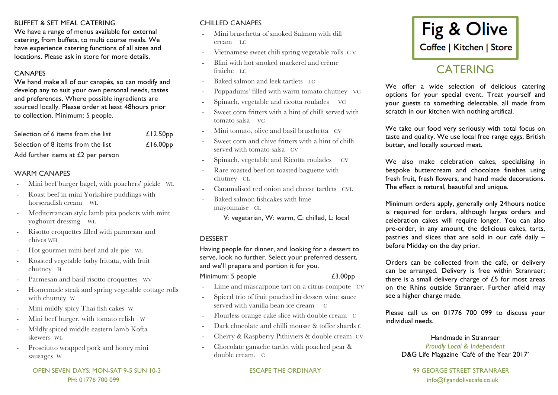#### BUFFET & SET MEAL CATERING

We have a range of menus available for external catering, from buffets, to multi course meals. We have experience catering functions of all sizes and locations. Please ask in store for more details.

### **CANAPES**

We hand make all of our canapés, so can modify and develop any to suit your own personal needs, tastes and preferences. Where possible ingredients are sourced locally. Please order at least 48hours prior to collection. Minimum: 5 people.

| Selection of 6 items from the list   | £12.50 <sub>PP</sub> |
|--------------------------------------|----------------------|
| Selection of 8 items from the list   | £16.00 <sub>pp</sub> |
| Add further items at $E2$ per person |                      |

#### WARM CANAPES

- Mini beef burger bagel, with poachers' pickle WL
- Roast beef in mini Yorkshire puddings with horseradish cream WL
- Mediterranean style lamb pita pockets with mint yoghourt dressing WL
- Risotto croquettes filled with parmesan and chives WH
- Hot gourmet mini beef and ale pie WL
- Roasted vegetable baby frittata, with fruit chutney H
- Parmesan and basil risotto croquettes WV
- Homemade steak and spring vegetable cottage rolls with chutney W
- Mini mildly spicy Thai fish cakes W
- Mini beef burger, with tomato relish W
- Mildly spiced middle eastern lamb Kofta skewers WL
- Prosciutto wrapped pork and honey mini sausages W

# CHILLED CANAPES

- Mini bruschetta of smoked Salmon with dill cream LC
- Vietnamese sweet chili spring vegetable rolls C V
- Blini with hot smoked mackerel and crème fraiche LC
- Baked salmon and leek tartlets LC
- Poppadums' filled with warm tomato chutney VC
- Spinach, vegetable and ricotta roulades VC
- Sweet corn fritters with a hint of chilli served with tomato salsa VC
- Mini tomato, olive and basil bruschetta CV
- Sweet corn and chive fritters with a hint of chilli served with tomato salsa CV
- Spinach, vegetable and Ricotta roulades CV
- Rare roasted beef on toasted baguette with chutney CL
- Caramalised red onion and cheese tartlets CVL
- Baked salmon fishcakes with lime mayonnaise CL

V: vegetarian, W: warm, C: chilled, L: local

#### DESSERT

Having people for dinner, and looking for a dessert to serve, look no further. Select your preferred dessert, and we'll prepare and portion it for you.

Minimum: 5 people  $\angle 3.00 \text{pp}$ 

- Lime and mascarpone tart on a citrus compote CV
- Spiced trio of fruit poached in dessert wine sauce served with vanilla bean ice cream C
- Flourless orange cake slice with double cream C
- Dark chocolate and chilli mousse & toffee shards C
- Cherry & Raspberry Pithiviers & double cream CV
- Chocolate ganache tartlet with poached pear & double cream. C



# **CATERING**

We offer a wide selection of delicious catering options for your special event. Treat yourself and your guests to something delectable, all made from scratch in our kitchen with nothing artifical.

We take our food very seriously with total focus on taste and quality. We use local free range eggs, British butter, and locally sourced meat.

We also make celebration cakes, specialising in bespoke buttercream and chocolate finishes using fresh fruit, fresh flowers, and hand made decorations. The effect is natural, beautiful and unique.

Minimum orders apply, generally only 24hours notice is required for orders, although larges orders and celebration cakes will require longer. You can also pre-order, in any amount, the delicious cakes, tarts, pastries and slices that are sold in our café daily – before Midday on the day prior.

Orders can be collected from the café, or delivery can be arranged. Delivery is free within Stranraer; there is a small delivery charge of £5 for most areas on the Rhins outside Stranraer. Further afield may see a higher charge made.

Please call us on 01776 700 099 to discuss your individual needs.

#### Handmade in Stranraer *Proudly Local & Independent* D&G Life Magazine 'Café of the Year 2017'